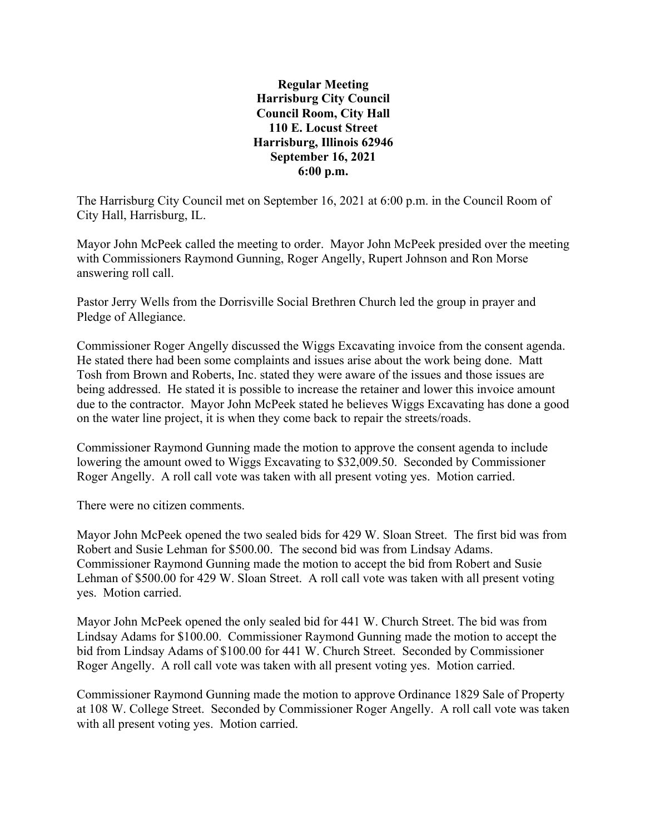**Regular Meeting Harrisburg City Council Council Room, City Hall 110 E. Locust Street Harrisburg, Illinois 62946 September 16, 2021 6:00 p.m.**

The Harrisburg City Council met on September 16, 2021 at 6:00 p.m. in the Council Room of City Hall, Harrisburg, IL.

Mayor John McPeek called the meeting to order. Mayor John McPeek presided over the meeting with Commissioners Raymond Gunning, Roger Angelly, Rupert Johnson and Ron Morse answering roll call.

Pastor Jerry Wells from the Dorrisville Social Brethren Church led the group in prayer and Pledge of Allegiance.

Commissioner Roger Angelly discussed the Wiggs Excavating invoice from the consent agenda. He stated there had been some complaints and issues arise about the work being done. Matt Tosh from Brown and Roberts, Inc. stated they were aware of the issues and those issues are being addressed. He stated it is possible to increase the retainer and lower this invoice amount due to the contractor. Mayor John McPeek stated he believes Wiggs Excavating has done a good on the water line project, it is when they come back to repair the streets/roads.

Commissioner Raymond Gunning made the motion to approve the consent agenda to include lowering the amount owed to Wiggs Excavating to \$32,009.50. Seconded by Commissioner Roger Angelly. A roll call vote was taken with all present voting yes. Motion carried.

There were no citizen comments.

Mayor John McPeek opened the two sealed bids for 429 W. Sloan Street. The first bid was from Robert and Susie Lehman for \$500.00. The second bid was from Lindsay Adams. Commissioner Raymond Gunning made the motion to accept the bid from Robert and Susie Lehman of \$500.00 for 429 W. Sloan Street. A roll call vote was taken with all present voting yes. Motion carried.

Mayor John McPeek opened the only sealed bid for 441 W. Church Street. The bid was from Lindsay Adams for \$100.00. Commissioner Raymond Gunning made the motion to accept the bid from Lindsay Adams of \$100.00 for 441 W. Church Street. Seconded by Commissioner Roger Angelly. A roll call vote was taken with all present voting yes. Motion carried.

Commissioner Raymond Gunning made the motion to approve Ordinance 1829 Sale of Property at 108 W. College Street. Seconded by Commissioner Roger Angelly. A roll call vote was taken with all present voting yes. Motion carried.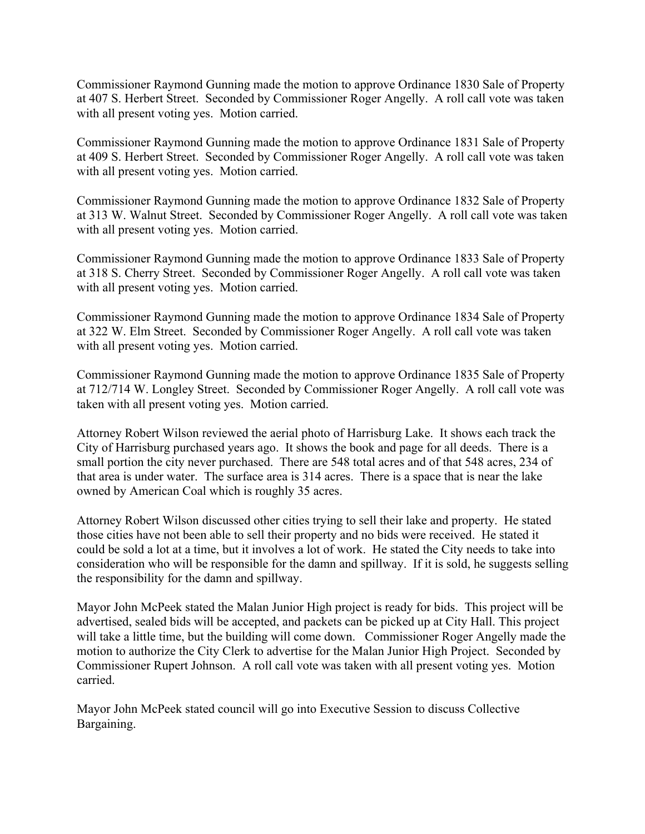Commissioner Raymond Gunning made the motion to approve Ordinance 1830 Sale of Property at 407 S. Herbert Street. Seconded by Commissioner Roger Angelly. A roll call vote was taken with all present voting yes. Motion carried.

Commissioner Raymond Gunning made the motion to approve Ordinance 1831 Sale of Property at 409 S. Herbert Street. Seconded by Commissioner Roger Angelly. A roll call vote was taken with all present voting yes. Motion carried.

Commissioner Raymond Gunning made the motion to approve Ordinance 1832 Sale of Property at 313 W. Walnut Street. Seconded by Commissioner Roger Angelly. A roll call vote was taken with all present voting yes. Motion carried.

Commissioner Raymond Gunning made the motion to approve Ordinance 1833 Sale of Property at 318 S. Cherry Street. Seconded by Commissioner Roger Angelly. A roll call vote was taken with all present voting yes. Motion carried.

Commissioner Raymond Gunning made the motion to approve Ordinance 1834 Sale of Property at 322 W. Elm Street. Seconded by Commissioner Roger Angelly. A roll call vote was taken with all present voting yes. Motion carried.

Commissioner Raymond Gunning made the motion to approve Ordinance 1835 Sale of Property at 712/714 W. Longley Street. Seconded by Commissioner Roger Angelly. A roll call vote was taken with all present voting yes. Motion carried.

Attorney Robert Wilson reviewed the aerial photo of Harrisburg Lake. It shows each track the City of Harrisburg purchased years ago. It shows the book and page for all deeds. There is a small portion the city never purchased. There are 548 total acres and of that 548 acres, 234 of that area is under water. The surface area is 314 acres. There is a space that is near the lake owned by American Coal which is roughly 35 acres.

Attorney Robert Wilson discussed other cities trying to sell their lake and property. He stated those cities have not been able to sell their property and no bids were received. He stated it could be sold a lot at a time, but it involves a lot of work. He stated the City needs to take into consideration who will be responsible for the damn and spillway. If it is sold, he suggests selling the responsibility for the damn and spillway.

Mayor John McPeek stated the Malan Junior High project is ready for bids. This project will be advertised, sealed bids will be accepted, and packets can be picked up at City Hall. This project will take a little time, but the building will come down. Commissioner Roger Angelly made the motion to authorize the City Clerk to advertise for the Malan Junior High Project. Seconded by Commissioner Rupert Johnson. A roll call vote was taken with all present voting yes. Motion carried.

Mayor John McPeek stated council will go into Executive Session to discuss Collective Bargaining.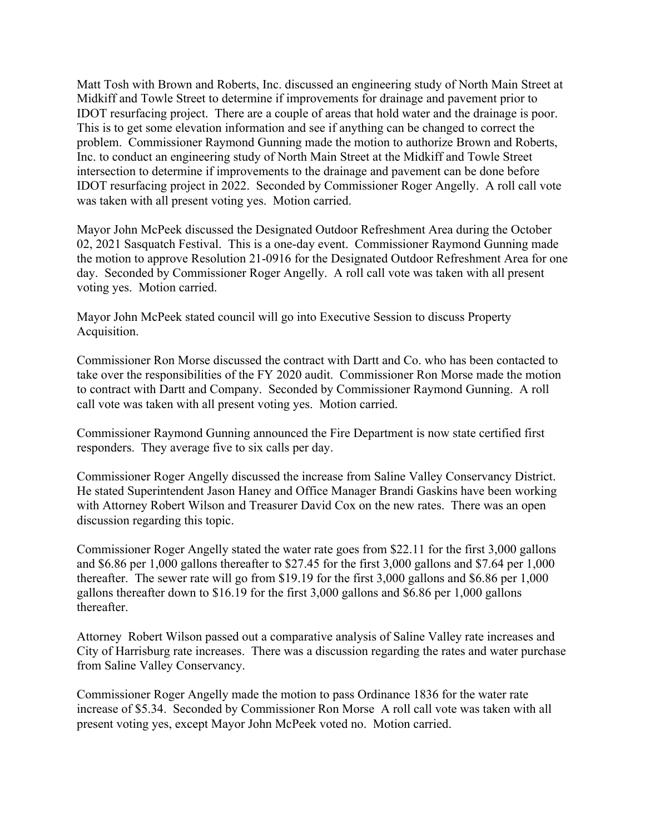Matt Tosh with Brown and Roberts, Inc. discussed an engineering study of North Main Street at Midkiff and Towle Street to determine if improvements for drainage and pavement prior to IDOT resurfacing project. There are a couple of areas that hold water and the drainage is poor. This is to get some elevation information and see if anything can be changed to correct the problem. Commissioner Raymond Gunning made the motion to authorize Brown and Roberts, Inc. to conduct an engineering study of North Main Street at the Midkiff and Towle Street intersection to determine if improvements to the drainage and pavement can be done before IDOT resurfacing project in 2022. Seconded by Commissioner Roger Angelly. A roll call vote was taken with all present voting yes. Motion carried.

Mayor John McPeek discussed the Designated Outdoor Refreshment Area during the October 02, 2021 Sasquatch Festival. This is a one-day event. Commissioner Raymond Gunning made the motion to approve Resolution 21-0916 for the Designated Outdoor Refreshment Area for one day. Seconded by Commissioner Roger Angelly. A roll call vote was taken with all present voting yes. Motion carried.

Mayor John McPeek stated council will go into Executive Session to discuss Property Acquisition.

Commissioner Ron Morse discussed the contract with Dartt and Co. who has been contacted to take over the responsibilities of the FY 2020 audit. Commissioner Ron Morse made the motion to contract with Dartt and Company. Seconded by Commissioner Raymond Gunning. A roll call vote was taken with all present voting yes. Motion carried.

Commissioner Raymond Gunning announced the Fire Department is now state certified first responders. They average five to six calls per day.

Commissioner Roger Angelly discussed the increase from Saline Valley Conservancy District. He stated Superintendent Jason Haney and Office Manager Brandi Gaskins have been working with Attorney Robert Wilson and Treasurer David Cox on the new rates. There was an open discussion regarding this topic.

Commissioner Roger Angelly stated the water rate goes from \$22.11 for the first 3,000 gallons and \$6.86 per 1,000 gallons thereafter to \$27.45 for the first 3,000 gallons and \$7.64 per 1,000 thereafter. The sewer rate will go from \$19.19 for the first 3,000 gallons and \$6.86 per 1,000 gallons thereafter down to \$16.19 for the first 3,000 gallons and \$6.86 per 1,000 gallons thereafter.

Attorney Robert Wilson passed out a comparative analysis of Saline Valley rate increases and City of Harrisburg rate increases. There was a discussion regarding the rates and water purchase from Saline Valley Conservancy.

Commissioner Roger Angelly made the motion to pass Ordinance 1836 for the water rate increase of \$5.34. Seconded by Commissioner Ron Morse A roll call vote was taken with all present voting yes, except Mayor John McPeek voted no. Motion carried.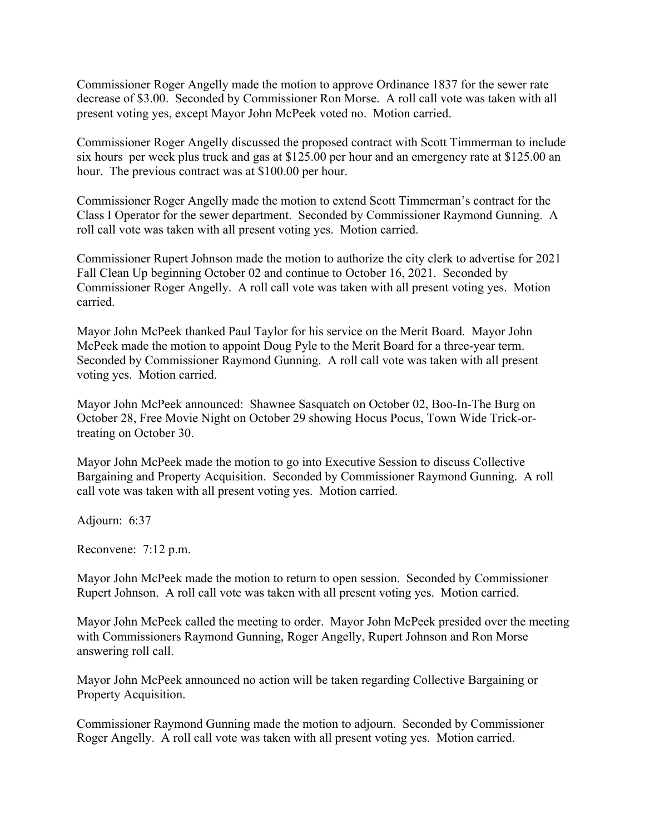Commissioner Roger Angelly made the motion to approve Ordinance 1837 for the sewer rate decrease of \$3.00. Seconded by Commissioner Ron Morse. A roll call vote was taken with all present voting yes, except Mayor John McPeek voted no. Motion carried.

Commissioner Roger Angelly discussed the proposed contract with Scott Timmerman to include six hours per week plus truck and gas at \$125.00 per hour and an emergency rate at \$125.00 an hour. The previous contract was at \$100.00 per hour.

Commissioner Roger Angelly made the motion to extend Scott Timmerman's contract for the Class I Operator for the sewer department. Seconded by Commissioner Raymond Gunning. A roll call vote was taken with all present voting yes. Motion carried.

Commissioner Rupert Johnson made the motion to authorize the city clerk to advertise for 2021 Fall Clean Up beginning October 02 and continue to October 16, 2021. Seconded by Commissioner Roger Angelly. A roll call vote was taken with all present voting yes. Motion carried.

Mayor John McPeek thanked Paul Taylor for his service on the Merit Board. Mayor John McPeek made the motion to appoint Doug Pyle to the Merit Board for a three-year term. Seconded by Commissioner Raymond Gunning. A roll call vote was taken with all present voting yes. Motion carried.

Mayor John McPeek announced: Shawnee Sasquatch on October 02, Boo-In-The Burg on October 28, Free Movie Night on October 29 showing Hocus Pocus, Town Wide Trick-ortreating on October 30.

Mayor John McPeek made the motion to go into Executive Session to discuss Collective Bargaining and Property Acquisition. Seconded by Commissioner Raymond Gunning. A roll call vote was taken with all present voting yes. Motion carried.

Adjourn: 6:37

Reconvene: 7:12 p.m.

Mayor John McPeek made the motion to return to open session. Seconded by Commissioner Rupert Johnson. A roll call vote was taken with all present voting yes. Motion carried.

Mayor John McPeek called the meeting to order. Mayor John McPeek presided over the meeting with Commissioners Raymond Gunning, Roger Angelly, Rupert Johnson and Ron Morse answering roll call.

Mayor John McPeek announced no action will be taken regarding Collective Bargaining or Property Acquisition.

Commissioner Raymond Gunning made the motion to adjourn. Seconded by Commissioner Roger Angelly. A roll call vote was taken with all present voting yes. Motion carried.